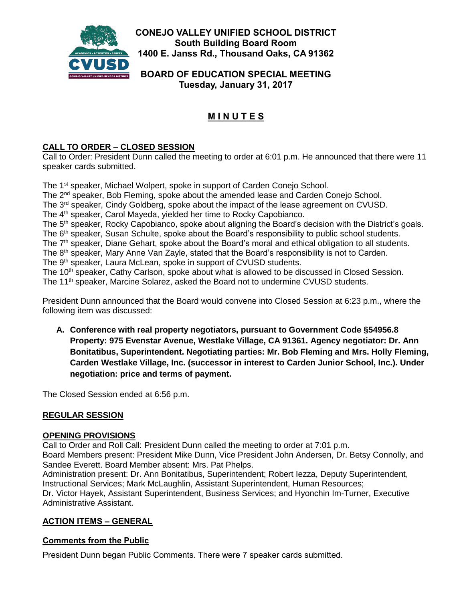

**CONEJO VALLEY UNIFIED SCHOOL DISTRICT South Building Board Room 1400 E. Janss Rd., Thousand Oaks, CA 91362**

**BOARD OF EDUCATION SPECIAL MEETING Tuesday, January 31, 2017**

# **M I N U T E S**

## **CALL TO ORDER – CLOSED SESSION**

Call to Order: President Dunn called the meeting to order at 6:01 p.m. He announced that there were 11 speaker cards submitted.

The 1<sup>st</sup> speaker, Michael Wolpert, spoke in support of Carden Conejo School. The 2<sup>nd</sup> speaker, Bob Fleming, spoke about the amended lease and Carden Conejo School. The 3<sup>rd</sup> speaker, Cindy Goldberg, spoke about the impact of the lease agreement on CVUSD. The 4<sup>th</sup> speaker, Carol Mayeda, yielded her time to Rocky Capobianco. The 5<sup>th</sup> speaker, Rocky Capobianco, spoke about aligning the Board's decision with the District's goals. The 6<sup>th</sup> speaker, Susan Schulte, spoke about the Board's responsibility to public school students. The 7<sup>th</sup> speaker, Diane Gehart, spoke about the Board's moral and ethical obligation to all students. The 8<sup>th</sup> speaker, Mary Anne Van Zayle, stated that the Board's responsibility is not to Carden. The 9<sup>th</sup> speaker, Laura McLean, spoke in support of CVUSD students. The 10<sup>th</sup> speaker, Cathy Carlson, spoke about what is allowed to be discussed in Closed Session. The 11<sup>th</sup> speaker, Marcine Solarez, asked the Board not to undermine CVUSD students.

President Dunn announced that the Board would convene into Closed Session at 6:23 p.m., where the following item was discussed:

**A. Conference with real property negotiators, pursuant to Government Code §54956.8 Property: 975 Evenstar Avenue, Westlake Village, CA 91361. Agency negotiator: Dr. Ann Bonitatibus, Superintendent. Negotiating parties: Mr. Bob Fleming and Mrs. Holly Fleming, Carden Westlake Village, Inc. (successor in interest to Carden Junior School, Inc.). Under negotiation: price and terms of payment.**

The Closed Session ended at 6:56 p.m.

## **REGULAR SESSION**

#### **OPENING PROVISIONS**

Call to Order and Roll Call: President Dunn called the meeting to order at 7:01 p.m. Board Members present: President Mike Dunn, Vice President John Andersen, Dr. Betsy Connolly, and Sandee Everett. Board Member absent: Mrs. Pat Phelps.

Administration present: Dr. Ann Bonitatibus, Superintendent; Robert Iezza, Deputy Superintendent, Instructional Services; Mark McLaughlin, Assistant Superintendent, Human Resources;

Dr. Victor Hayek, Assistant Superintendent, Business Services; and Hyonchin Im-Turner, Executive Administrative Assistant.

## **ACTION ITEMS – GENERAL**

## **Comments from the Public**

President Dunn began Public Comments. There were 7 speaker cards submitted.